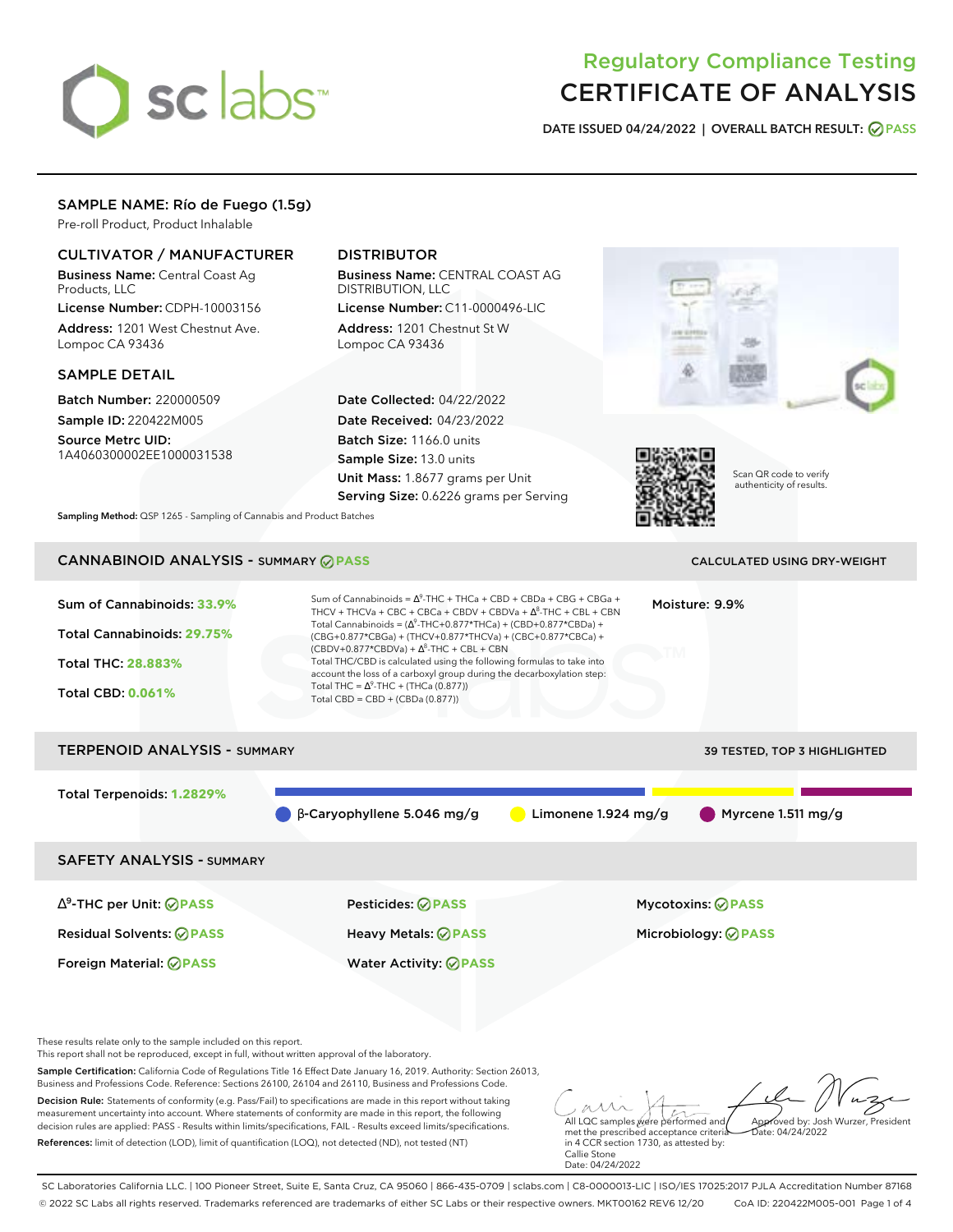# sclabs<sup>\*</sup>

# Regulatory Compliance Testing CERTIFICATE OF ANALYSIS

**DATE ISSUED 04/24/2022 | OVERALL BATCH RESULT: PASS**

#### SAMPLE NAME: Río de Fuego (1.5g)

Pre-roll Product, Product Inhalable

#### CULTIVATOR / MANUFACTURER

Business Name: Central Coast Ag Products, LLC

License Number: CDPH-10003156 Address: 1201 West Chestnut Ave. Lompoc CA 93436

#### SAMPLE DETAIL

Batch Number: 220000509 Sample ID: 220422M005 Source Metrc UID:

1A4060300002EE1000031538

### DISTRIBUTOR

Business Name: CENTRAL COAST AG DISTRIBUTION, LLC License Number: C11-0000496-LIC

Address: 1201 Chestnut St W Lompoc CA 93436

Date Collected: 04/22/2022 Date Received: 04/23/2022 Batch Size: 1166.0 units Sample Size: 13.0 units Unit Mass: 1.8677 grams per Unit Serving Size: 0.6226 grams per Serving





Scan QR code to verify authenticity of results.

**Sampling Method:** QSP 1265 - Sampling of Cannabis and Product Batches

## CANNABINOID ANALYSIS - SUMMARY **PASS** CALCULATED USING DRY-WEIGHT

| Sum of Cannabinoids: 33.9%<br>Total Cannabinoids: 29.75%<br><b>Total THC: 28.883%</b><br><b>Total CBD: 0.061%</b> | Sum of Cannabinoids = $\Delta^9$ -THC + THCa + CBD + CBDa + CBG + CBGa +<br>THCV + THCVa + CBC + CBCa + CBDV + CBDVa + $\Delta^8$ -THC + CBL + CBN<br>Total Cannabinoids = $(\Delta^9$ -THC+0.877*THCa) + (CBD+0.877*CBDa) +<br>(CBG+0.877*CBGa) + (THCV+0.877*THCVa) + (CBC+0.877*CBCa) +<br>$(CBDV+0.877*CBDVa) + \Delta^8$ -THC + CBL + CBN<br>Total THC/CBD is calculated using the following formulas to take into<br>account the loss of a carboxyl group during the decarboxylation step:<br>Total THC = $\Delta^9$ -THC + (THCa (0.877))<br>Total CBD = $CBD + (CBDa (0.877))$ | Moisture: 9.9%                              |
|-------------------------------------------------------------------------------------------------------------------|----------------------------------------------------------------------------------------------------------------------------------------------------------------------------------------------------------------------------------------------------------------------------------------------------------------------------------------------------------------------------------------------------------------------------------------------------------------------------------------------------------------------------------------------------------------------------------------|---------------------------------------------|
| <b>TERPENOID ANALYSIS - SUMMARY</b>                                                                               |                                                                                                                                                                                                                                                                                                                                                                                                                                                                                                                                                                                        | <b>39 TESTED, TOP 3 HIGHLIGHTED</b>         |
| Total Terpenoids: 1.2829%                                                                                         | $\beta$ -Caryophyllene 5.046 mg/g                                                                                                                                                                                                                                                                                                                                                                                                                                                                                                                                                      | Limonene $1.924$ mg/g<br>Myrcene 1.511 mg/g |
| <b>SAFETY ANALYSIS - SUMMARY</b>                                                                                  |                                                                                                                                                                                                                                                                                                                                                                                                                                                                                                                                                                                        |                                             |
| $\Delta^9$ -THC per Unit: $\bigcirc$ PASS                                                                         | Pesticides: ⊘PASS                                                                                                                                                                                                                                                                                                                                                                                                                                                                                                                                                                      | Mycotoxins: ⊘PASS                           |
| <b>Residual Solvents: ⊘PASS</b>                                                                                   | Heavy Metals: <b>⊘</b> PASS                                                                                                                                                                                                                                                                                                                                                                                                                                                                                                                                                            | Microbiology: <b>⊘PASS</b>                  |
| Foreign Material: <b>⊘ PASS</b>                                                                                   | <b>Water Activity: ◎ PASS</b>                                                                                                                                                                                                                                                                                                                                                                                                                                                                                                                                                          |                                             |

These results relate only to the sample included on this report.

This report shall not be reproduced, except in full, without written approval of the laboratory.

Sample Certification: California Code of Regulations Title 16 Effect Date January 16, 2019. Authority: Section 26013, Business and Professions Code. Reference: Sections 26100, 26104 and 26110, Business and Professions Code.

Decision Rule: Statements of conformity (e.g. Pass/Fail) to specifications are made in this report without taking measurement uncertainty into account. Where statements of conformity are made in this report, the following decision rules are applied: PASS - Results within limits/specifications, FAIL - Results exceed limits/specifications. References: limit of detection (LOD), limit of quantification (LOQ), not detected (ND), not tested (NT)

All LQC samples were performed and Approved by: Josh Wurzer, President  $hat(0.4/24/2022)$ 

met the prescribed acceptance criteria in 4 CCR section 1730, as attested by: Callie Stone Date: 04/24/2022

SC Laboratories California LLC. | 100 Pioneer Street, Suite E, Santa Cruz, CA 95060 | 866-435-0709 | sclabs.com | C8-0000013-LIC | ISO/IES 17025:2017 PJLA Accreditation Number 87168 © 2022 SC Labs all rights reserved. Trademarks referenced are trademarks of either SC Labs or their respective owners. MKT00162 REV6 12/20 CoA ID: 220422M005-001 Page 1 of 4